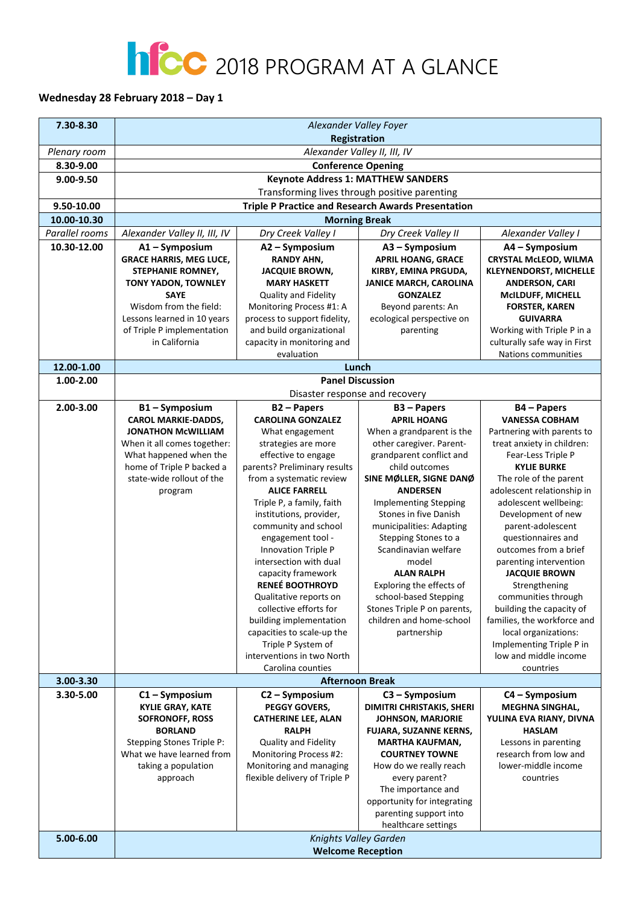## **NCC** 2018 PROGRAM AT A GLANCE

## **Wednesday 28 February 2018 – Day 1**

| 7.30-8.30      | Alexander Valley Foyer                                                                     |                                                   |                                                   |                                                     |
|----------------|--------------------------------------------------------------------------------------------|---------------------------------------------------|---------------------------------------------------|-----------------------------------------------------|
|                | Registration                                                                               |                                                   |                                                   |                                                     |
| Plenary room   |                                                                                            | Alexander Valley II, III, IV                      |                                                   |                                                     |
| 8.30-9.00      |                                                                                            |                                                   | <b>Conference Opening</b>                         |                                                     |
| 9.00-9.50      |                                                                                            |                                                   |                                                   |                                                     |
|                | <b>Keynote Address 1: MATTHEW SANDERS</b><br>Transforming lives through positive parenting |                                                   |                                                   |                                                     |
| 9.50-10.00     | <b>Triple P Practice and Research Awards Presentation</b>                                  |                                                   |                                                   |                                                     |
| 10.00-10.30    |                                                                                            | <b>Morning Break</b>                              |                                                   |                                                     |
| Parallel rooms | Alexander Valley II, III, IV                                                               | Dry Creek Valley I                                | Dry Creek Valley II                               | Alexander Valley I                                  |
| 10.30-12.00    | A1-Symposium                                                                               | A2 – Symposium                                    | A3 - Symposium                                    | A4 - Symposium                                      |
|                | <b>GRACE HARRIS, MEG LUCE,</b>                                                             | <b>RANDY AHN,</b>                                 | <b>APRIL HOANG, GRACE</b>                         | <b>CRYSTAL McLEOD, WILMA</b>                        |
|                | STEPHANIE ROMNEY,                                                                          | <b>JACQUIE BROWN,</b>                             | KIRBY, EMINA PRGUDA,                              | <b>KLEYNENDORST, MICHELLE</b>                       |
|                | TONY YADON, TOWNLEY                                                                        | <b>MARY HASKETT</b>                               | <b>JANICE MARCH, CAROLINA</b>                     | <b>ANDERSON, CARI</b>                               |
|                | <b>SAYE</b>                                                                                | Quality and Fidelity                              | <b>GONZALEZ</b>                                   | <b>MCILDUFF, MICHELL</b>                            |
|                | Wisdom from the field:                                                                     | Monitoring Process #1: A                          | Beyond parents: An                                | <b>FORSTER, KAREN</b>                               |
|                | Lessons learned in 10 years                                                                | process to support fidelity,                      | ecological perspective on                         | <b>GUIVARRA</b>                                     |
|                | of Triple P implementation                                                                 | and build organizational                          | parenting                                         | Working with Triple P in a                          |
|                | in California                                                                              | capacity in monitoring and<br>evaluation          |                                                   | culturally safe way in First<br>Nations communities |
|                |                                                                                            |                                                   |                                                   |                                                     |
| 12.00-1.00     |                                                                                            | Lunch<br><b>Panel Discussion</b>                  |                                                   |                                                     |
| 1.00-2.00      |                                                                                            |                                                   | Disaster response and recovery                    |                                                     |
| 2.00-3.00      | B1-Symposium                                                                               | <b>B2-Papers</b>                                  | $B3 - Papers$                                     | <b>B4-Papers</b>                                    |
|                | <b>CAROL MARKIE-DADDS,</b>                                                                 | <b>CAROLINA GONZALEZ</b>                          | <b>APRIL HOANG</b>                                | <b>VANESSA COBHAM</b>                               |
|                | <b>JONATHON McWILLIAM</b>                                                                  | What engagement                                   | When a grandparent is the                         | Partnering with parents to                          |
|                | When it all comes together:                                                                | strategies are more                               | other caregiver. Parent-                          | treat anxiety in children:                          |
|                | What happened when the                                                                     | effective to engage                               | grandparent conflict and                          | Fear-Less Triple P                                  |
|                | home of Triple P backed a                                                                  | parents? Preliminary results                      | child outcomes                                    | <b>KYLIE BURKE</b>                                  |
|                | state-wide rollout of the                                                                  | from a systematic review                          | SINE MØLLER, SIGNE DANØ                           | The role of the parent                              |
|                | program                                                                                    | <b>ALICE FARRELL</b>                              | <b>ANDERSEN</b>                                   | adolescent relationship in                          |
|                |                                                                                            | Triple P, a family, faith                         | <b>Implementing Stepping</b>                      | adolescent wellbeing:                               |
|                |                                                                                            | institutions, provider,<br>community and school   | Stones in five Danish<br>municipalities: Adapting | Development of new<br>parent-adolescent             |
|                |                                                                                            | engagement tool -                                 | Stepping Stones to a                              | questionnaires and                                  |
|                |                                                                                            | Innovation Triple P                               | Scandinavian welfare                              | outcomes from a brief                               |
|                |                                                                                            | intersection with dual                            | model                                             | parenting intervention                              |
|                |                                                                                            | capacity framework                                | <b>ALAN RALPH</b>                                 | <b>JACQUIE BROWN</b>                                |
|                |                                                                                            | <b>RENEÉ BOOTHROYD</b>                            | Exploring the effects of                          | Strengthening                                       |
|                |                                                                                            | Qualitative reports on                            | school-based Stepping                             | communities through                                 |
|                |                                                                                            | collective efforts for                            | Stones Triple P on parents,                       | building the capacity of                            |
|                |                                                                                            | building implementation                           | children and home-school                          | families, the workforce and                         |
|                |                                                                                            | capacities to scale-up the<br>Triple P System of  | partnership                                       | local organizations:<br>Implementing Triple P in    |
|                |                                                                                            | interventions in two North                        |                                                   | low and middle income                               |
|                |                                                                                            | Carolina counties                                 |                                                   | countries                                           |
| 3.00-3.30      | <b>Afternoon Break</b>                                                                     |                                                   |                                                   |                                                     |
| 3.30-5.00      | $C1 - Symposition$                                                                         | C2 - Symposium                                    | C3 - Symposium                                    | C4 - Symposium                                      |
|                | <b>KYLIE GRAY, KATE</b>                                                                    | PEGGY GOVERS,                                     | <b>DIMITRI CHRISTAKIS, SHERI</b>                  | <b>MEGHNA SINGHAL,</b>                              |
|                | <b>SOFRONOFF, ROSS</b>                                                                     | <b>CATHERINE LEE, ALAN</b>                        | <b>JOHNSON, MARJORIE</b>                          | YULINA EVA RIANY, DIVNA                             |
|                | <b>BORLAND</b>                                                                             | <b>RALPH</b>                                      | <b>FUJARA, SUZANNE KERNS,</b>                     | <b>HASLAM</b>                                       |
|                | <b>Stepping Stones Triple P:</b>                                                           | Quality and Fidelity                              | <b>MARTHA KAUFMAN,</b>                            | Lessons in parenting                                |
|                | What we have learned from<br>taking a population                                           | Monitoring Process #2:<br>Monitoring and managing | <b>COURTNEY TOWNE</b><br>How do we really reach   | research from low and<br>lower-middle income        |
|                | approach                                                                                   | flexible delivery of Triple P                     | every parent?                                     | countries                                           |
|                |                                                                                            |                                                   | The importance and                                |                                                     |
|                |                                                                                            |                                                   | opportunity for integrating                       |                                                     |
|                |                                                                                            |                                                   | parenting support into                            |                                                     |
|                |                                                                                            |                                                   | healthcare settings                               |                                                     |
| 5.00-6.00      | Knights Valley Garden                                                                      |                                                   |                                                   |                                                     |
|                | <b>Welcome Reception</b>                                                                   |                                                   |                                                   |                                                     |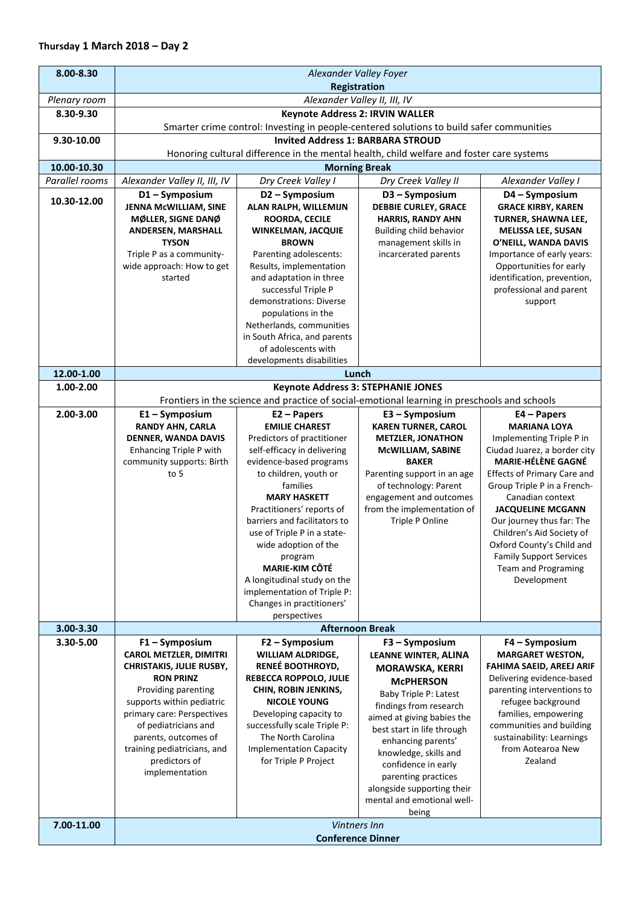| 8.00-8.30      | Alexander Valley Foyer                                                                   |                                                             |                                                                                              |                                                          |  |
|----------------|------------------------------------------------------------------------------------------|-------------------------------------------------------------|----------------------------------------------------------------------------------------------|----------------------------------------------------------|--|
|                | Registration                                                                             |                                                             |                                                                                              |                                                          |  |
| Plenary room   |                                                                                          | Alexander Valley II, III, IV                                |                                                                                              |                                                          |  |
| 8.30-9.30      | <b>Keynote Address 2: IRVIN WALLER</b>                                                   |                                                             |                                                                                              |                                                          |  |
|                |                                                                                          |                                                             | Smarter crime control: Investing in people-centered solutions to build safer communities     |                                                          |  |
| 9.30-10.00     |                                                                                          | <b>Invited Address 1: BARBARA STROUD</b>                    |                                                                                              |                                                          |  |
|                |                                                                                          |                                                             | Honoring cultural difference in the mental health, child welfare and foster care systems     |                                                          |  |
| 10.00-10.30    |                                                                                          |                                                             | <b>Morning Break</b>                                                                         |                                                          |  |
| Parallel rooms | Alexander Valley II, III, IV                                                             | Dry Creek Valley I                                          | Dry Creek Valley II                                                                          | Alexander Valley I                                       |  |
| 10.30-12.00    | D1-Symposium                                                                             | D2-Symposium                                                | D3-Symposium                                                                                 | D4 - Symposium                                           |  |
|                | JENNA McWILLIAM, SINE                                                                    | ALAN RALPH, WILLEMIJN                                       | <b>DEBBIE CURLEY, GRACE</b><br><b>HARRIS, RANDY AHN</b>                                      | <b>GRACE KIRBY, KAREN</b>                                |  |
|                | MØLLER, SIGNE DANØ<br>ANDERSEN, MARSHALL                                                 | <b>ROORDA, CECILE</b><br>WINKELMAN, JACQUIE                 | Building child behavior                                                                      | TURNER, SHAWNA LEE,<br><b>MELISSA LEE, SUSAN</b>         |  |
|                | <b>TYSON</b>                                                                             | <b>BROWN</b>                                                | management skills in                                                                         | O'NEILL, WANDA DAVIS                                     |  |
|                | Triple P as a community-                                                                 | Parenting adolescents:                                      | incarcerated parents                                                                         | Importance of early years:                               |  |
|                | wide approach: How to get                                                                | Results, implementation                                     |                                                                                              | Opportunities for early                                  |  |
|                | started                                                                                  | and adaptation in three                                     |                                                                                              | identification, prevention,                              |  |
|                |                                                                                          | successful Triple P                                         |                                                                                              | professional and parent                                  |  |
|                |                                                                                          | demonstrations: Diverse                                     |                                                                                              | support                                                  |  |
|                |                                                                                          | populations in the<br>Netherlands, communities              |                                                                                              |                                                          |  |
|                |                                                                                          | in South Africa, and parents                                |                                                                                              |                                                          |  |
|                |                                                                                          | of adolescents with                                         |                                                                                              |                                                          |  |
|                |                                                                                          | developments disabilities                                   |                                                                                              |                                                          |  |
| 12.00-1.00     | Lunch                                                                                    |                                                             |                                                                                              |                                                          |  |
| 1.00-2.00      | <b>Keynote Address 3: STEPHANIE JONES</b>                                                |                                                             |                                                                                              |                                                          |  |
|                |                                                                                          |                                                             | Frontiers in the science and practice of social-emotional learning in preschools and schools |                                                          |  |
| 2.00-3.00      | $E1 - Symposition$                                                                       | $E2 - Papers$                                               | E3 - Symposium                                                                               | $E4 - Papers$                                            |  |
|                | <b>RANDY AHN, CARLA</b>                                                                  | <b>EMILIE CHAREST</b>                                       | <b>KAREN TURNER, CAROL</b>                                                                   | <b>MARIANA LOYA</b>                                      |  |
|                | DENNER, WANDA DAVIS<br><b>Enhancing Triple P with</b>                                    | Predictors of practitioner<br>self-efficacy in delivering   | <b>METZLER, JONATHON</b><br>McWILLIAM, SABINE                                                | Implementing Triple P in<br>Ciudad Juarez, a border city |  |
|                | community supports: Birth                                                                | evidence-based programs                                     | <b>BAKER</b>                                                                                 | <b>MARIE-HÉLÈNE GAGNÉ</b>                                |  |
|                | to $5$                                                                                   | to children, youth or                                       | Parenting support in an age                                                                  | <b>Effects of Primary Care and</b>                       |  |
|                |                                                                                          | families                                                    | of technology: Parent                                                                        | Group Triple P in a French-                              |  |
|                |                                                                                          | <b>MARY HASKETT</b>                                         | engagement and outcomes                                                                      | Canadian context                                         |  |
|                |                                                                                          | Practitioners' reports of                                   | from the implementation of                                                                   | <b>JACQUELINE MCGANN</b>                                 |  |
|                |                                                                                          | barriers and facilitators to<br>use of Triple P in a state- | Triple P Online                                                                              | Our journey thus far: The<br>Children's Aid Society of   |  |
|                |                                                                                          | wide adoption of the                                        |                                                                                              | Oxford County's Child and                                |  |
|                |                                                                                          | program                                                     |                                                                                              | <b>Family Support Services</b>                           |  |
|                |                                                                                          | <b>MARIE-KIM CÔTÉ</b>                                       |                                                                                              | <b>Team and Programing</b>                               |  |
|                |                                                                                          | A longitudinal study on the                                 |                                                                                              | Development                                              |  |
|                |                                                                                          | implementation of Triple P:                                 |                                                                                              |                                                          |  |
|                |                                                                                          | Changes in practitioners'                                   |                                                                                              |                                                          |  |
| 3.00-3.30      |                                                                                          | perspectives                                                |                                                                                              |                                                          |  |
| 3.30-5.00      | <b>Afternoon Break</b><br>$F2 - Symposition$<br>$F3 - Symposition$<br>$F4 - Symposition$ |                                                             |                                                                                              |                                                          |  |
|                | $F1 - Symposition$<br><b>CAROL METZLER, DIMITRI</b>                                      | <b>WILLIAM ALDRIDGE,</b>                                    | LEANNE WINTER, ALINA                                                                         | <b>MARGARET WESTON,</b>                                  |  |
|                | <b>CHRISTAKIS, JULIE RUSBY,</b>                                                          | RENEÉ BOOTHROYD,                                            | <b>MORAWSKA, KERRI</b>                                                                       | FAHIMA SAEID, AREEJ ARIF                                 |  |
|                | <b>RON PRINZ</b>                                                                         | REBECCA ROPPOLO, JULIE                                      | <b>McPHERSON</b>                                                                             | Delivering evidence-based                                |  |
|                | Providing parenting                                                                      | CHIN, ROBIN JENKINS,                                        | Baby Triple P: Latest                                                                        | parenting interventions to                               |  |
|                | supports within pediatric                                                                | <b>NICOLE YOUNG</b>                                         | findings from research                                                                       | refugee background                                       |  |
|                | primary care: Perspectives<br>of pediatricians and                                       | Developing capacity to<br>successfully scale Triple P:      | aimed at giving babies the                                                                   | families, empowering<br>communities and building         |  |
|                | parents, outcomes of                                                                     | The North Carolina                                          | best start in life through                                                                   | sustainability: Learnings                                |  |
|                | training pediatricians, and                                                              | <b>Implementation Capacity</b>                              | enhancing parents'                                                                           | from Aotearoa New                                        |  |
|                | predictors of                                                                            | for Triple P Project                                        | knowledge, skills and<br>confidence in early                                                 | Zealand                                                  |  |
|                | implementation                                                                           |                                                             | parenting practices                                                                          |                                                          |  |
|                |                                                                                          |                                                             | alongside supporting their                                                                   |                                                          |  |
|                |                                                                                          |                                                             | mental and emotional well-                                                                   |                                                          |  |
|                |                                                                                          |                                                             | being                                                                                        |                                                          |  |
| 7.00-11.00     | Vintners Inn                                                                             |                                                             |                                                                                              |                                                          |  |
|                | <b>Conference Dinner</b>                                                                 |                                                             |                                                                                              |                                                          |  |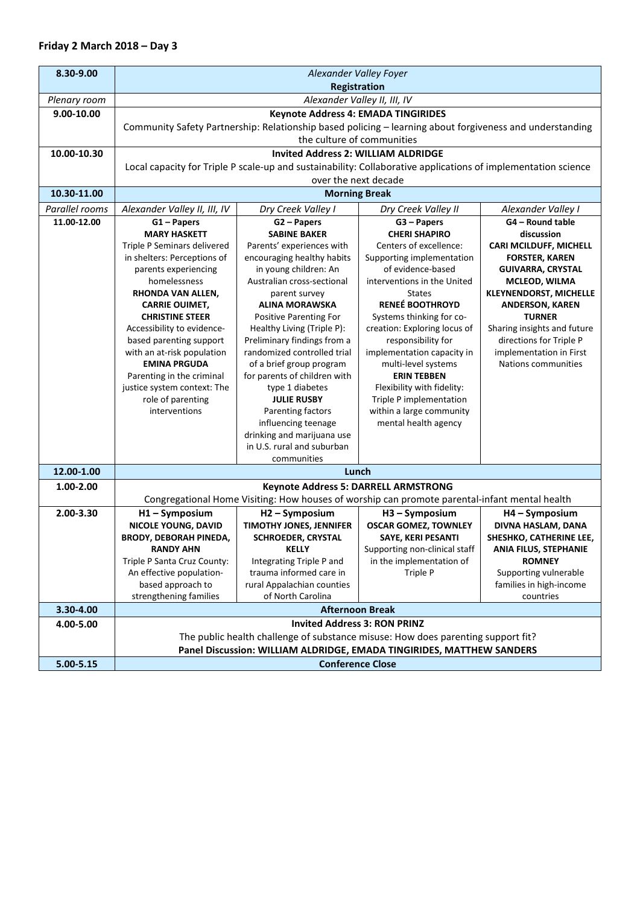| 8.30-9.00      | Alexander Valley Foyer                                                                                                                 |                                                            |                                                                                               |                                                        |  |
|----------------|----------------------------------------------------------------------------------------------------------------------------------------|------------------------------------------------------------|-----------------------------------------------------------------------------------------------|--------------------------------------------------------|--|
| Plenary room   | <b>Registration</b><br>Alexander Valley II, III, IV                                                                                    |                                                            |                                                                                               |                                                        |  |
| 9.00-10.00     |                                                                                                                                        |                                                            |                                                                                               |                                                        |  |
|                | Keynote Address 4: EMADA TINGIRIDES                                                                                                    |                                                            |                                                                                               |                                                        |  |
|                | Community Safety Partnership: Relationship based policing - learning about forgiveness and understanding<br>the culture of communities |                                                            |                                                                                               |                                                        |  |
|                |                                                                                                                                        |                                                            |                                                                                               |                                                        |  |
| 10.00-10.30    |                                                                                                                                        | <b>Invited Address 2: WILLIAM ALDRIDGE</b>                 |                                                                                               |                                                        |  |
|                | Local capacity for Triple P scale-up and sustainability: Collaborative applications of implementation science                          |                                                            |                                                                                               |                                                        |  |
|                | over the next decade<br><b>Morning Break</b>                                                                                           |                                                            |                                                                                               |                                                        |  |
| 10.30-11.00    |                                                                                                                                        |                                                            |                                                                                               |                                                        |  |
| Parallel rooms | Alexander Valley II, III, IV                                                                                                           | Dry Creek Valley I                                         | Dry Creek Valley II                                                                           | Alexander Valley I                                     |  |
| 11.00-12.00    | $G1 - Papers$                                                                                                                          | G2 - Papers                                                | G3 - Papers                                                                                   | G4 - Round table                                       |  |
|                | <b>MARY HASKETT</b>                                                                                                                    | <b>SABINE BAKER</b>                                        | <b>CHERI SHAPIRO</b>                                                                          | discussion                                             |  |
|                | Triple P Seminars delivered                                                                                                            | Parents' experiences with                                  | Centers of excellence:                                                                        | CARI MCILDUFF, MICHELL                                 |  |
|                | in shelters: Perceptions of                                                                                                            | encouraging healthy habits                                 | Supporting implementation                                                                     | <b>FORSTER, KAREN</b>                                  |  |
|                | parents experiencing                                                                                                                   | in young children: An                                      | of evidence-based                                                                             | <b>GUIVARRA, CRYSTAL</b>                               |  |
|                | homelessness                                                                                                                           | Australian cross-sectional                                 | interventions in the United                                                                   | MCLEOD, WILMA                                          |  |
|                | RHONDA VAN ALLEN,                                                                                                                      | parent survey                                              | <b>States</b><br><b>RENEÉ BOOTHROYD</b>                                                       | <b>KLEYNENDORST, MICHELLE</b>                          |  |
|                | <b>CARRIE OUIMET,</b>                                                                                                                  | <b>ALINA MORAWSKA</b>                                      |                                                                                               | <b>ANDERSON, KAREN</b>                                 |  |
|                | <b>CHRISTINE STEER</b>                                                                                                                 | Positive Parenting For                                     | Systems thinking for co-<br>creation: Exploring locus of                                      | <b>TURNER</b>                                          |  |
|                | Accessibility to evidence-                                                                                                             | Healthy Living (Triple P):                                 |                                                                                               | Sharing insights and future<br>directions for Triple P |  |
|                | based parenting support<br>with an at-risk population                                                                                  | Preliminary findings from a<br>randomized controlled trial | responsibility for                                                                            | implementation in First                                |  |
|                | <b>EMINA PRGUDA</b>                                                                                                                    |                                                            | implementation capacity in<br>multi-level systems                                             | Nations communities                                    |  |
|                | Parenting in the criminal                                                                                                              | of a brief group program<br>for parents of children with   | <b>ERIN TEBBEN</b>                                                                            |                                                        |  |
|                | justice system context: The                                                                                                            | type 1 diabetes                                            | Flexibility with fidelity:                                                                    |                                                        |  |
|                | role of parenting                                                                                                                      | <b>JULIE RUSBY</b>                                         | Triple P implementation                                                                       |                                                        |  |
|                | interventions                                                                                                                          | Parenting factors                                          | within a large community                                                                      |                                                        |  |
|                |                                                                                                                                        | influencing teenage                                        | mental health agency                                                                          |                                                        |  |
|                |                                                                                                                                        | drinking and marijuana use                                 |                                                                                               |                                                        |  |
|                |                                                                                                                                        | in U.S. rural and suburban                                 |                                                                                               |                                                        |  |
|                |                                                                                                                                        | communities                                                |                                                                                               |                                                        |  |
| 12.00-1.00     | Lunch                                                                                                                                  |                                                            |                                                                                               |                                                        |  |
| 1.00-2.00      |                                                                                                                                        | Keynote Address 5: DARRELL ARMSTRONG                       |                                                                                               |                                                        |  |
|                |                                                                                                                                        |                                                            | Congregational Home Visiting: How houses of worship can promote parental-infant mental health |                                                        |  |
| 2.00-3.30      | H1-Symposium                                                                                                                           | H <sub>2</sub> - Symposium                                 | H3-Symposium                                                                                  | H4 - Symposium                                         |  |
|                | <b>NICOLE YOUNG, DAVID</b>                                                                                                             | TIMOTHY JONES, JENNIFER                                    | <b>OSCAR GOMEZ, TOWNLEY</b>                                                                   | DIVNA HASLAM, DANA                                     |  |
|                | <b>BRODY, DEBORAH PINEDA,</b>                                                                                                          | <b>SCHROEDER, CRYSTAL</b>                                  | SAYE, KERI PESANTI                                                                            | SHESHKO, CATHERINE LEE,                                |  |
|                | <b>RANDY AHN</b>                                                                                                                       | <b>KELLY</b>                                               | Supporting non-clinical staff                                                                 | <b>ANIA FILUS, STEPHANIE</b>                           |  |
|                | Triple P Santa Cruz County:                                                                                                            | Integrating Triple P and                                   | in the implementation of                                                                      | <b>ROMNEY</b>                                          |  |
|                | An effective population-                                                                                                               | trauma informed care in                                    | Triple P                                                                                      | Supporting vulnerable                                  |  |
|                | based approach to                                                                                                                      | rural Appalachian counties                                 |                                                                                               | families in high-income                                |  |
|                | strengthening families                                                                                                                 | of North Carolina                                          |                                                                                               | countries                                              |  |
| 3.30-4.00      | <b>Afternoon Break</b>                                                                                                                 |                                                            |                                                                                               |                                                        |  |
| 4.00-5.00      |                                                                                                                                        | <b>Invited Address 3: RON PRINZ</b>                        |                                                                                               |                                                        |  |
|                | The public health challenge of substance misuse: How does parenting support fit?                                                       |                                                            |                                                                                               |                                                        |  |
|                | Panel Discussion: WILLIAM ALDRIDGE, EMADA TINGIRIDES, MATTHEW SANDERS                                                                  |                                                            |                                                                                               |                                                        |  |
| 5.00-5.15      | <b>Conference Close</b>                                                                                                                |                                                            |                                                                                               |                                                        |  |